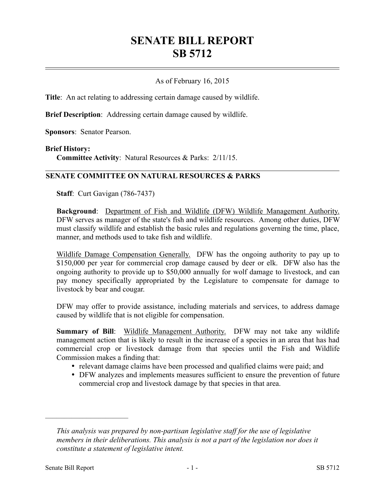# **SENATE BILL REPORT SB 5712**

## As of February 16, 2015

**Title**: An act relating to addressing certain damage caused by wildlife.

**Brief Description**: Addressing certain damage caused by wildlife.

**Sponsors**: Senator Pearson.

#### **Brief History:**

**Committee Activity**: Natural Resources & Parks: 2/11/15.

### **SENATE COMMITTEE ON NATURAL RESOURCES & PARKS**

**Staff**: Curt Gavigan (786-7437)

**Background**: Department of Fish and Wildlife (DFW) Wildlife Management Authority. DFW serves as manager of the state's fish and wildlife resources. Among other duties, DFW must classify wildlife and establish the basic rules and regulations governing the time, place, manner, and methods used to take fish and wildlife.

Wildlife Damage Compensation Generally. DFW has the ongoing authority to pay up to \$150,000 per year for commercial crop damage caused by deer or elk. DFW also has the ongoing authority to provide up to \$50,000 annually for wolf damage to livestock, and can pay money specifically appropriated by the Legislature to compensate for damage to livestock by bear and cougar.

DFW may offer to provide assistance, including materials and services, to address damage caused by wildlife that is not eligible for compensation.

**Summary of Bill**: Wildlife Management Authority. DFW may not take any wildlife management action that is likely to result in the increase of a species in an area that has had commercial crop or livestock damage from that species until the Fish and Wildlife Commission makes a finding that:

- relevant damage claims have been processed and qualified claims were paid; and
- DFW analyzes and implements measures sufficient to ensure the prevention of future commercial crop and livestock damage by that species in that area.

––––––––––––––––––––––

*This analysis was prepared by non-partisan legislative staff for the use of legislative members in their deliberations. This analysis is not a part of the legislation nor does it constitute a statement of legislative intent.*